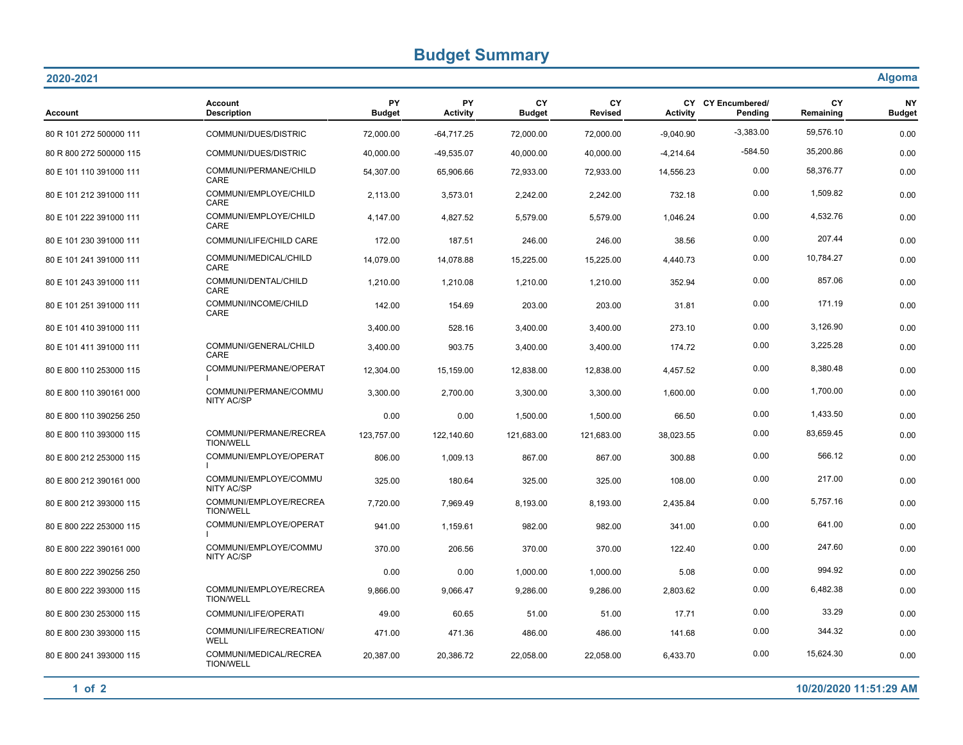## **Budget Summary**

| 2020-2021               |                                            |                            |                              |                     |                             |                 |                              | <b>Algoma</b>   |                            |
|-------------------------|--------------------------------------------|----------------------------|------------------------------|---------------------|-----------------------------|-----------------|------------------------------|-----------------|----------------------------|
| <b>Account</b>          | <b>Account</b><br><b>Description</b>       | <b>PY</b><br><b>Budget</b> | <b>PY</b><br><b>Activity</b> | CY<br><b>Budget</b> | <b>CY</b><br><b>Revised</b> | <b>Activity</b> | CY CY Encumbered/<br>Pending | CY<br>Remaining | <b>NY</b><br><b>Budget</b> |
| 80 R 101 272 500000 111 | COMMUNI/DUES/DISTRIC                       | 72,000.00                  | $-64,717.25$                 | 72,000.00           | 72,000.00                   | $-9,040.90$     | $-3,383.00$                  | 59,576.10       | 0.00                       |
| 80 R 800 272 500000 115 | COMMUNI/DUES/DISTRIC                       | 40,000.00                  | -49,535.07                   | 40,000.00           | 40,000.00                   | $-4,214.64$     | $-584.50$                    | 35,200.86       | 0.00                       |
| 80 E 101 110 391000 111 | COMMUNI/PERMANE/CHILD<br><b>CARE</b>       | 54,307.00                  | 65,906.66                    | 72,933.00           | 72,933.00                   | 14,556.23       | 0.00                         | 58,376.77       | 0.00                       |
| 80 E 101 212 391000 111 | COMMUNI/EMPLOYE/CHILD<br>CARE              | 2,113.00                   | 3,573.01                     | 2,242.00            | 2,242.00                    | 732.18          | 0.00                         | 1,509.82        | 0.00                       |
| 80 E 101 222 391000 111 | COMMUNI/EMPLOYE/CHILD<br>CARE              | 4,147.00                   | 4,827.52                     | 5,579.00            | 5,579.00                    | 1,046.24        | 0.00                         | 4,532.76        | 0.00                       |
| 80 E 101 230 391000 111 | COMMUNI/LIFE/CHILD CARE                    | 172.00                     | 187.51                       | 246.00              | 246.00                      | 38.56           | 0.00                         | 207.44          | 0.00                       |
| 80 E 101 241 391000 111 | COMMUNI/MEDICAL/CHILD<br>CARE              | 14,079.00                  | 14,078.88                    | 15,225.00           | 15,225.00                   | 4,440.73        | 0.00                         | 10,784.27       | 0.00                       |
| 80 E 101 243 391000 111 | COMMUNI/DENTAL/CHILD<br>CARE               | 1,210.00                   | 1,210.08                     | 1,210.00            | 1,210.00                    | 352.94          | 0.00                         | 857.06          | 0.00                       |
| 80 E 101 251 391000 111 | COMMUNI/INCOME/CHILD<br>CARE               | 142.00                     | 154.69                       | 203.00              | 203.00                      | 31.81           | 0.00                         | 171.19          | 0.00                       |
| 80 E 101 410 391000 111 |                                            | 3,400.00                   | 528.16                       | 3,400.00            | 3,400.00                    | 273.10          | 0.00                         | 3,126.90        | 0.00                       |
| 80 E 101 411 391000 111 | COMMUNI/GENERAL/CHILD<br><b>CARE</b>       | 3,400.00                   | 903.75                       | 3,400.00            | 3,400.00                    | 174.72          | 0.00                         | 3,225.28        | 0.00                       |
| 80 E 800 110 253000 115 | COMMUNI/PERMANE/OPERAT                     | 12,304.00                  | 15,159.00                    | 12,838.00           | 12,838.00                   | 4,457.52        | 0.00                         | 8,380.48        | 0.00                       |
| 80 E 800 110 390161 000 | COMMUNI/PERMANE/COMMU<br><b>NITY AC/SP</b> | 3,300.00                   | 2,700.00                     | 3,300.00            | 3,300.00                    | 1,600.00        | 0.00                         | 1,700.00        | 0.00                       |
| 80 E 800 110 390256 250 |                                            | 0.00                       | 0.00                         | 1,500.00            | 1,500.00                    | 66.50           | 0.00                         | 1,433.50        | 0.00                       |
| 80 E 800 110 393000 115 | COMMUNI/PERMANE/RECREA<br><b>TION/WELL</b> | 123,757.00                 | 122,140.60                   | 121,683.00          | 121,683.00                  | 38,023.55       | 0.00                         | 83,659.45       | 0.00                       |
| 80 E 800 212 253000 115 | COMMUNI/EMPLOYE/OPERAT                     | 806.00                     | 1,009.13                     | 867.00              | 867.00                      | 300.88          | 0.00                         | 566.12          | 0.00                       |
| 80 E 800 212 390161 000 | COMMUNI/EMPLOYE/COMMU<br><b>NITY AC/SP</b> | 325.00                     | 180.64                       | 325.00              | 325.00                      | 108.00          | 0.00                         | 217.00          | 0.00                       |
| 80 E 800 212 393000 115 | COMMUNI/EMPLOYE/RECREA<br><b>TION/WELL</b> | 7,720.00                   | 7,969.49                     | 8,193.00            | 8,193.00                    | 2,435.84        | 0.00                         | 5,757.16        | 0.00                       |
| 80 E 800 222 253000 115 | COMMUNI/EMPLOYE/OPERAT                     | 941.00                     | 1,159.61                     | 982.00              | 982.00                      | 341.00          | 0.00                         | 641.00          | 0.00                       |
| 80 E 800 222 390161 000 | COMMUNI/EMPLOYE/COMMU<br><b>NITY AC/SP</b> | 370.00                     | 206.56                       | 370.00              | 370.00                      | 122.40          | 0.00                         | 247.60          | 0.00                       |
| 80 E 800 222 390256 250 |                                            | 0.00                       | 0.00                         | 1,000.00            | 1,000.00                    | 5.08            | 0.00                         | 994.92          | 0.00                       |
| 80 E 800 222 393000 115 | COMMUNI/EMPLOYE/RECREA<br><b>TION/WELL</b> | 9,866.00                   | 9,066.47                     | 9,286.00            | 9,286.00                    | 2,803.62        | 0.00                         | 6,482.38        | 0.00                       |
| 80 E 800 230 253000 115 | COMMUNI/LIFE/OPERATI                       | 49.00                      | 60.65                        | 51.00               | 51.00                       | 17.71           | 0.00                         | 33.29           | 0.00                       |
| 80 E 800 230 393000 115 | COMMUNI/LIFE/RECREATION/<br><b>WELL</b>    | 471.00                     | 471.36                       | 486.00              | 486.00                      | 141.68          | 0.00                         | 344.32          | 0.00                       |
| 80 E 800 241 393000 115 | COMMUNI/MEDICAL/RECREA<br><b>TION/WELL</b> | 20,387.00                  | 20,386.72                    | 22,058.00           | 22,058.00                   | 6,433.70        | 0.00                         | 15,624.30       | 0.00                       |